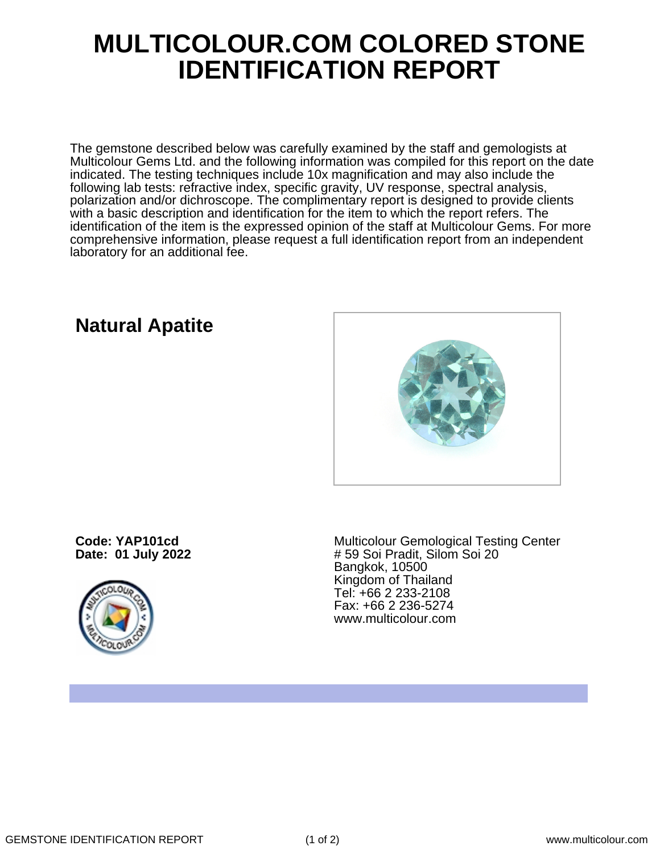## **MULTICOLOUR.COM COLORED STONE IDENTIFICATION REPORT**

The gemstone described below was carefully examined by the staff and gemologists at Multicolour Gems Ltd. and the following information was compiled for this report on the date indicated. The testing techniques include 10x magnification and may also include the following lab tests: refractive index, specific gravity, UV response, spectral analysis, polarization and/or dichroscope. The complimentary report is designed to provide clients with a basic description and identification for the item to which the report refers. The identification of the item is the expressed opinion of the staff at Multicolour Gems. For more comprehensive information, please request a full identification report from an independent laboratory for an additional fee.

## **Natural Apatite**



**Code: YAP101cd Date: 01 July 2022**



Multicolour Gemological Testing Center # 59 Soi Pradit, Silom Soi 20 Bangkok, 10500 Kingdom of Thailand Tel: +66 2 233-2108 Fax: +66 2 236-5274 www.multicolour.com